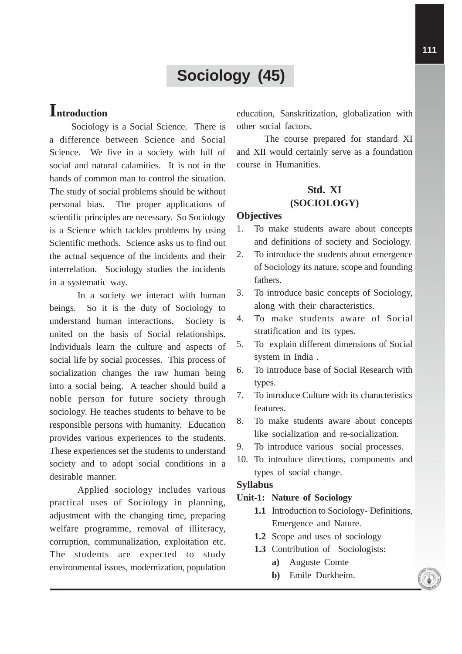# **Sociology (45)**

# **Introduction**

Sociology is a Social Science. There is a difference between Science and Social Science. We live in a society with full of social and natural calamities. It is not in the hands of common man to control the situation. The study of social problems should be without personal bias. The proper applications of scientific principles are necessary. So Sociology is a Science which tackles problems by using Scientific methods. Science asks us to find out the actual sequence of the incidents and their interrelation. Sociology studies the incidents in a systematic way.

In a society we interact with human beings. So it is the duty of Sociology to understand human interactions. Society is united on the basis of Social relationships. Individuals learn the culture and aspects of social life by social processes. This process of socialization changes the raw human being into a social being. A teacher should build a noble person for future society through sociology. He teaches students to behave to be responsible persons with humanity. Education provides various experiences to the students. These experiences set the students to understand society and to adopt social conditions in a desirable manner.

Applied sociology includes various practical uses of Sociology in planning, adjustment with the changing time, preparing welfare programme, removal of illiteracy, corruption, communalization, exploitation etc. The students are expected to study environmental issues, modernization, population education, Sanskritization, globalization with other social factors.

The course prepared for standard XI and XII would certainly serve as a foundation course in Humanities.

# **Std. XI (SOCIOLOGY)**

### **Objectives**

- 1. To make students aware about concepts and definitions of society and Sociology.
- 2. To introduce the students about emergence of Sociology its nature, scope and founding fathers.
- 3. To introduce basic concepts of Sociology, along with their characteristics.
- 4. To make students aware of Social stratification and its types.
- 5. To explain different dimensions of Social system in India .
- 6. To introduce base of Social Research with types.
- 7. To introduce Culture with its characteristics features.
- 8. To make students aware about concepts like socialization and re-socialization.
- 9. To introduce various social processes.
- 10. To introduce directions, components and types of social change.

#### **Syllabus**

### **Unit-1: Nature of Sociology**

- **1.1** Introduction to Sociology- Definitions, Emergence and Nature.
- **1.2** Scope and uses of sociology
- **1.3** Contribution of Sociologists:
	- **a)** Auguste Comte
	- **b)** Emile Durkheim.

**111**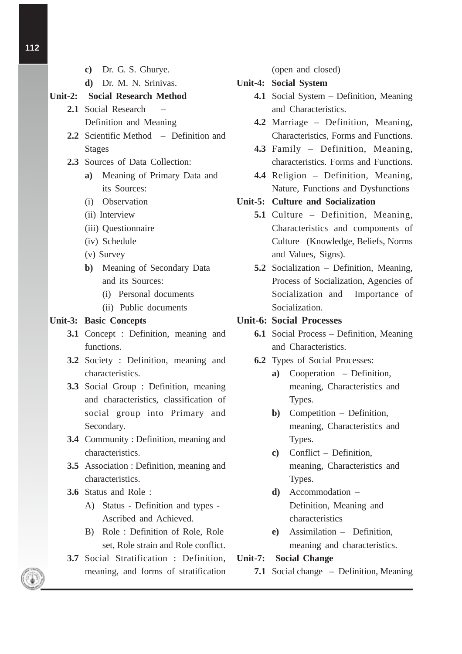- **c)** Dr. G. S. Ghurye. **d)** Dr. M. N. Srinivas. **Unit-2: Social Research Method 2.1** Social Research – Definition and Meaning **2.2** Scientific Method – Definition and Stages **2.3** Sources of Data Collection: **a)** Meaning of Primary Data and its Sources: (i) Observation (ii) Interview (iii) Questionnaire (iv) Schedule (v) Survey **b)** Meaning of Secondary Data and its Sources: (i) Personal documents (ii) Public documents **Unit-3: Basic Concepts 3.1** Concept : Definition, meaning and functions. **3.2** Society : Definition, meaning and characteristics. **3.3** Social Group : Definition, meaning and characteristics, classification of social group into Primary and Secondary. **3.4** Community : Definition, meaning and characteristics. **3.5** Association : Definition, meaning and characteristics. **3.6** Status and Role : A) Status - Definition and types - Ascribed and Achieved. B) Role : Definition of Role, Role set, Role strain and Role conflict. **3.7** Social Stratification : Definition,
	- meaning, and forms of stratification

(open and closed)

#### **Unit-4: Social System**

- **4.1** Social System Definition, Meaning and Characteristics.
- **4.2** Marriage Definition, Meaning, Characteristics, Forms and Functions.
- **4.3** Family Definition, Meaning, characteristics. Forms and Functions.
- **4.4** Religion Definition, Meaning, Nature, Functions and Dysfunctions

## **Unit-5: Culture and Socialization**

- **5.1** Culture Definition, Meaning, Characteristics and components of Culture (Knowledge, Beliefs, Norms and Values, Signs).
- **5.2** Socialization Definition, Meaning, Process of Socialization, Agencies of Socialization and Importance of Socialization.

### **Unit-6: Social Processes**

- **6.1** Social Process Definition, Meaning and Characteristics.
- **6.2** Types of Social Processes:
	- **a)** Cooperation Definition, meaning, Characteristics and Types.
	- **b)** Competition Definition, meaning, Characteristics and Types.
	- **c)** Conflict Definition, meaning, Characteristics and Types.
	- **d)** Accommodation Definition, Meaning and characteristics
	- **e)** Assimilation Definition, meaning and characteristics.

**Unit-7: Social Change**

**7.1** Social change – Definition, Meaning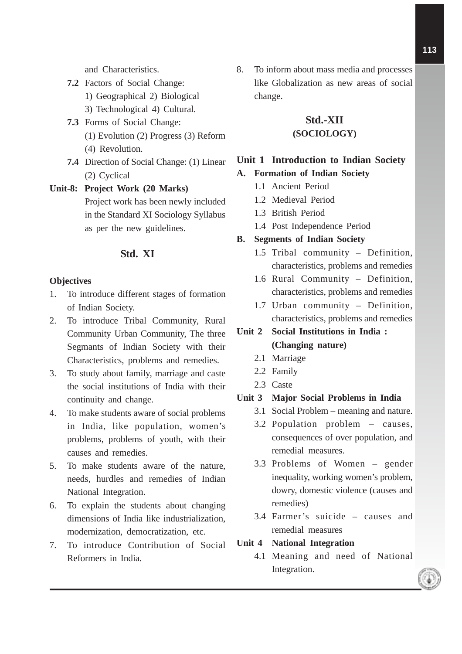- **7.2** Factors of Social Change:
	- 1) Geographical 2) Biological
	- 3) Technological 4) Cultural.
- **7.3** Forms of Social Change: (1) Evolution (2) Progress (3) Reform (4) Revolution.
- **7.4** Direction of Social Change: (1) Linear (2) Cyclical

# **Unit-8: Project Work (20 Marks)** Project work has been newly included in the Standard XI Sociology Syllabus as per the new guidelines.

## **Std. XI**

### **Objectives**

- 1. To introduce different stages of formation of Indian Society.
- 2. To introduce Tribal Community, Rural Community Urban Community, The three Segmants of Indian Society with their Characteristics, problems and remedies.
- 3. To study about family, marriage and caste the social institutions of India with their continuity and change.
- 4. To make students aware of social problems in India, like population, women's problems, problems of youth, with their causes and remedies.
- 5. To make students aware of the nature, needs, hurdles and remedies of Indian National Integration.
- 6. To explain the students about changing dimensions of India like industrialization, modernization, democratization, etc.
- 7. To introduce Contribution of Social Reformers in India.

8. To inform about mass media and processes like Globalization as new areas of social change.

# **Std.-XII (SOCIOLOGY)**

### **Unit 1 Introduction to Indian Society**

### **A. Formation of Indian Society**

- 1.1 Ancient Period
- 1.2 Medieval Period
- 1.3 British Period
- 1.4 Post Independence Period

### **B. Segments of Indian Society**

- 1.5 Tribal community Definition, characteristics, problems and remedies
- 1.6 Rural Community Definition, characteristics, problems and remedies
- 1.7 Urban community Definition, characteristics, problems and remedies

# **Unit 2 Social Institutions in India : (Changing nature)**

- 2.1 Marriage
- 2.2 Family
- 2.3 Caste

### **Unit 3 Major Social Problems in India**

- 3.1 Social Problem meaning and nature.
- 3.2 Population problem causes, consequences of over population, and remedial measures.
- 3.3 Problems of Women gender inequality, working women's problem, dowry, domestic violence (causes and remedies)
- 3.4 Farmer's suicide causes and remedial measures
- **Unit 4 National Integration**
	- 4.1 Meaning and need of National Integration.